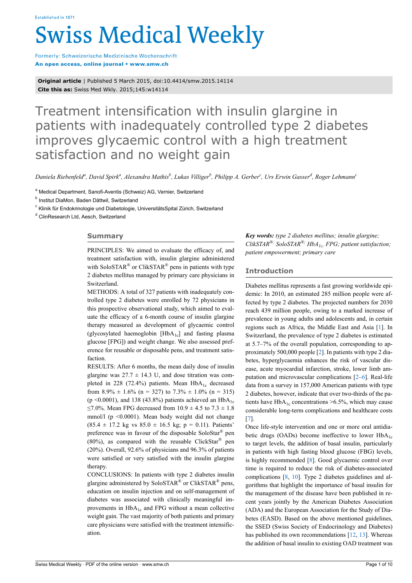# **Swiss Medical Weekly**

Formerly: Schweizerische Medizinische Wochenschrift An open access, online journal • www.smw.ch

**Original article** | Published 5 March 2015, doi:10.4414/smw.2015.14114 **Cite this as:** Swiss Med Wkly. 2015;145:w14114

# Treatment intensification with insulin glargine in patients with inadequately controlled type 2 diabetes improves glycaemic control with a high treatment satisfaction and no weight gain

Daniela Riebenfeld<sup>a</sup>, David Spirk<sup>a</sup>, Alexandra Mathis<sup>b</sup>, Lukas Villiger<sup>b</sup>, Philipp A. Gerber<sup>e</sup>, Urs Erwin Gasser<sup>d</sup>, Roger Lehmann<sup>c</sup>

a Medical Department, Sanofi-Aventis (Schweiz) AG, Vernier, Switzerland

<sup>b</sup> Institut DiaMon, Baden Dättwil, Switzerland

<sup>c</sup> Klinik für Endokrinologie und Diabetologie, UniversitätsSpital Zürich, Switzerland

<sup>d</sup> ClinResearch Ltd, Aesch, Switzerland

# **Summary**

PRINCIPLES: We aimed to evaluate the efficacy of, and treatment satisfaction with, insulin glargine administered with SoloSTAR<sup>®</sup> or ClikSTAR<sup>®</sup> pens in patients with type 2 diabetes mellitus managed by primary care physicians in Switzerland.

METHODS: A total of 327 patients with inadequately controlled type 2 diabetes were enrolled by 72 physicians in this prospective observational study, which aimed to evaluate the efficacy of a 6-month course of insulin glargine therapy measured as development of glycaemic control (glycosylated haemoglobin  $[HbA<sub>1c</sub>]$  and fasting plasma glucose [FPG]) and weight change. We also assessed preference for reusable or disposable pens, and treatment satisfaction.

RESULTS: After 6 months, the mean daily dose of insulin glargine was  $27.7 \pm 14.3$  U, and dose titration was completed in 228 (72.4%) patients. Mean  $HbA_{1c}$  decreased from  $8.9\% \pm 1.6\%$  (n = 327) to  $7.3\% \pm 1.0\%$  (n = 315) (p < 0.0001), and 138 (43.8%) patients achieved an HbA<sub>1c</sub> ≤7.0%. Mean FPG decreased from 10.9 ± 4.5 to 7.3 ± 1.8 mmol/l ( $p \le 0.0001$ ). Mean body weight did not change  $(85.4 \pm 17.2 \text{ kg vs } 85.0 \pm 16.5 \text{ kg}; \text{ p} = 0.11)$ . Patients' preference was in favour of the disposable SoloStar® pen (80%), as compared with the reusable ClickStar<sup>®</sup> pen (20%). Overall, 92.6% of physicians and 96.3% of patients were satisfied or very satisfied with the insulin glargine therapy.

CONCLUSIONS: In patients with type 2 diabetes insulin glargine administered by SoloSTAR® or ClikSTAR® pens, education on insulin injection and on self-management of diabetes was associated with clinically meaningful improvements in  $HbA_{1c}$  and FPG without a mean collective weight gain. The vast majority of both patients and primary care physicians were satisfied with the treatment intensification.

*Key words: type 2 diabetes mellitus; insulin glargine; ClikSTAR®; SoloSTAR®; HbA1c; FPG; patient satisfaction; patient empowerment; primary care*

# **Introduction**

Diabetes mellitus represents a fast growing worldwide epidemic: In 2010, an estimated 285 million people were affected by type 2 diabetes. The projected numbers for 2030 reach 439 million people, owing to a marked increase of prevalence in young adults and adolescents and, in certain regions such as Africa, the Middle East and Asia [\[1\]](#page-6-0). In Switzerland, the prevalence of type 2 diabetes is estimated at 5.7–7% of the overall population, corresponding to approximately 500,000 people [\[2\]](#page-6-1). In patients with type 2 diabetes, hyperglycaemia enhances the risk of vascular disease, acute myocardial infarction, stroke, lower limb amputation and microvascular complications [[2](#page-6-1)–[6](#page-6-2)]. Real-life data from a survey in 157,000 American patients with type 2 diabetes, however, indicate that over two-thirds of the patients have  $HbA_{1c}$  concentrations >6.5%, which may cause considerable long-term complications and healthcare costs [[7](#page-6-3)].

Once life-style intervention and one or more oral antidiabetic drugs (OADs) become ineffective to lower  $HbA_{1c}$ to target levels, the addition of basal insulin, particularly in patients with high fasting blood glucose (FBG) levels, is highly recommended [[8](#page-6-4)]. Good glycaemic control over time is required to reduce the risk of diabetes-associated complications [\[8,](#page-6-4) [10](#page-6-5)]. Type 2 diabetes guidelines and algorithms that highlight the importance of basal insulin for the management of the disease have been published in recent years jointly by the American Diabetes Association (ADA) and the European Association for the Study of Diabetes (EASD). Based on the above mentioned guidelines, the SSED (Swiss Society of Endocrinology and Diabetes) has published its own recommendations [[12,](#page-6-6) [13\]](#page-6-7). Whereas the addition of basal insulin to existing OAD treatment was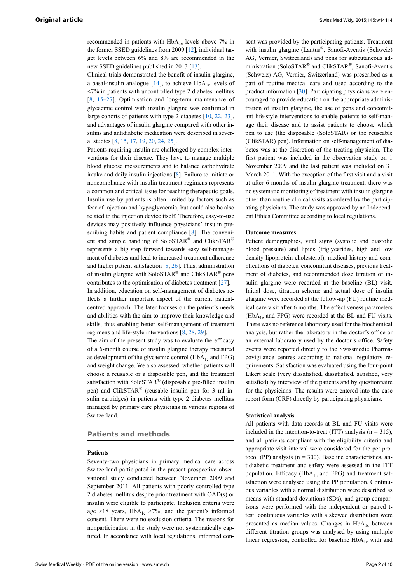recommended in patients with HbA<sub>1c</sub> levels above 7% in the former SSED guidelines from 2009 [\[12](#page-6-6)], individual target levels between 6% and 8% are recommended in the new SSED guidelines published in 2013 [[13\]](#page-6-7).

Clinical trials demonstrated the benefit of insulin glargine, a basal-insulin analogue  $[14]$  $[14]$ , to achieve HbA<sub>1c</sub> levels of <7% in patients with uncontrolled type 2 diabetes mellitus [\[8,](#page-6-4) [15](#page-6-9)–[27\]](#page-7-0). Optimisation and long-term maintenance of glycaemic control with insulin glargine was confirmed in large cohorts of patients with type 2 diabetes [\[10](#page-6-5), [22](#page-7-1), [23](#page-7-2)], and advantages of insulin glargine compared with other insulins and antidiabetic medication were described in several studies [[8,](#page-6-4) [15](#page-6-9), [17,](#page-6-10) [19](#page-6-11), [20,](#page-7-3) [24](#page-7-4), [25\]](#page-7-5).

Patients requiring insulin are challenged by complex interventions for their disease. They have to manage multiple blood glucose measurements and to balance carbohydrate intake and daily insulin injections [[8](#page-6-4)]. Failure to initiate or noncompliance with insulin treatment regimens represents a common and critical issue for reaching therapeutic goals. Insulin use by patients is often limited by factors such as fear of injection and hypoglycaemia, but could also be also related to the injection device itself. Therefore, easy-to-use devices may positively influence physicians' insulin pre-scribing habits and patient compliance [\[8\]](#page-6-4). The convenient and simple handling of SoloSTAR® and ClikSTAR® represents a big step forward towards easy self-management of diabetes and lead to increased treatment adherence and higher patient satisfaction  $[8, 26]$  $[8, 26]$  $[8, 26]$  $[8, 26]$ . Thus, administration of insulin glargine with SoloSTAR® and ClikSTAR® pens contributes to the optimisation of diabetes treatment [[27\]](#page-7-0). In addition, education on self-management of diabetes reflects a further important aspect of the current patient-

centred approach. The later focuses on the patient's needs and abilities with the aim to improve their knowledge and skills, thus enabling better self-management of treatment regimens and life-style interventions [[8](#page-6-4), [28,](#page-7-7) [29](#page-7-8)].

The aim of the present study was to evaluate the efficacy of a 6-month course of insulin glargine therapy measured as development of the glycaemic control  $(HbA<sub>1c</sub>$  and FPG) and weight change. We also assessed, whether patients will choose a reusable or a disposable pen, and the treatment satisfaction with SoloSTAR<sup>®</sup> (disposable pre-filled insulin pen) and ClikSTAR® (reusable insulin pen for 3 ml insulin cartridges) in patients with type 2 diabetes mellitus managed by primary care physicians in various regions of Switzerland.

#### **Patients and methods**

#### **Patients**

Seventy-two physicians in primary medical care across Switzerland participated in the present prospective observational study conducted between November 2009 and September 2011. All patients with poorly controlled type 2 diabetes mellitus despite prior treatment with OAD(s) or insulin were eligible to participate. Inclusion criteria were age >18 years,  $HbA_{1c}$  >7%, and the patient's informed consent. There were no exclusion criteria. The reasons for nonparticipation in the study were not systematically captured. In accordance with local regulations, informed con-

sent was provided by the participating patients. Treatment with insulin glargine (Lantus®, Sanofi-Aventis (Schweiz) AG, Vernier, Switzerland) and pens for subcutaneous administration (SoloSTAR® and ClikSTAR®, Sanofi-Aventis (Schweiz) AG, Vernier, Switzerland) was prescribed as a part of routine medical care and used according to the product information [[30\]](#page-7-9). Participating physicians were encouraged to provide education on the appropriate administration of insulin glargine, the use of pens and concomitant life-style interventions to enable patients to self-manage their disease and to assist patients to choose which pen to use (the disposable (SoloSTAR) or the reuseable (ClikSTAR) pen). Information on self-management of diabetes was at the discretion of the treating physician. The first patient was included in the observation study on 1 November 2009 and the last patient was included on 31 March 2011. With the exception of the first visit and a visit at after 6 months of insulin glargine treatment, there was no systematic monitoring of treatment with insulin glargine other than routine clinical visits as ordered by the participating physicians. The study was approved by an Independent Ethics Committee according to local regulations.

#### **Outcome measures**

Patient demographics, vital signs (systolic and diastolic blood pressure) and lipids (triglycerides, high and low density lipoprotein cholesterol), medical history and complications of diabetes, concomitant diseases, previous treatment of diabetes, and recommended dose titration of insulin glargine were recorded at the baseline (BL) visit. Initial dose, titration scheme and actual dose of insulin glargine were recorded at the follow-up (FU) routine medical care visit after 6 months. The effectiveness parameters  $(HbA<sub>1c</sub>$  and FPG) were recorded at the BL and FU visits. There was no reference laboratory used for the biochemical analysis, but rather the laboratory in the doctor's office or an external laboratory used by the doctor's office. Safety events were reported directly to the Swissmedic Pharmacovigilance centres according to national regulatory requirements. Satisfaction was evaluated using the four-point Likert scale (very dissatisfied, dissatisfied, satisfied, very satisfied) by interview of the patients and by questionnaire for the physicians. The results were entered into the case report form (CRF) directly by participating physicians.

#### **Statistical analysis**

All patients with data records at BL and FU visits were included in the intention-to-treat (ITT) analysis ( $n = 315$ ), and all patients compliant with the eligibility criteria and appropriate visit interval were considered for the per-protocol (PP) analysis ( $n = 300$ ). Baseline characteristics, antidiabetic treatment and safety were assessed in the ITT population. Efficacy  $(HbA_{1c}$  and FPG) and treatment satisfaction were analysed using the PP population. Continuous variables with a normal distribution were described as means with standard deviations (SDs), and group comparisons were performed with the independent or paired ttest; continuous variables with a skewed distribution were presented as median values. Changes in  $HbA_{1c}$  between different titration groups was analysed by using multiple linear regression, controlled for baseline  $HbA_{1c}$  with and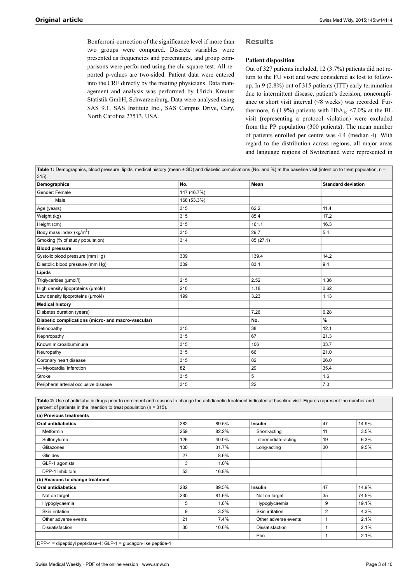Bonferroni-correction of the significance level if more than two groups were compared. Discrete variables were presented as frequencies and percentages, and group comparisons were performed using the chi-square test. All reported p-values are two-sided. Patient data were entered into the CRF directly by the treating physicians. Data management and analysis was performed by Ulrich Kreuter Statistik GmbH, Schwarzenburg. Data were analysed using SAS 9.1, SAS Institute Inc., SAS Campus Drive, Cary, North Carolina 27513, USA.

# **Results**

#### **Patient disposition**

Out of 327 patients included, 12 (3.7%) patients did not return to the FU visit and were considered as lost to followup. In 9 (2.8%) out of 315 patients (ITT) early termination due to intermittent disease, patient's decision, noncompliance or short visit interval (<8 weeks) was recorded. Furthermore, 6 (1.9%) patients with  $HbA_{1c}$  <7.0% at the BL visit (representing a protocol violation) were excluded from the PP population (300 patients). The mean number of patients enrolled per centre was 4.4 (median 4). With regard to the distribution across regions, all major areas and language regions of Switzerland were represented in

Table 1: Demographics, blood pressure, lipids, medical history (mean ± SD) and diabetic complications (No. and %) at the baseline visit (intention to treat population, n =  $315$ ).

| Demographics                                       | No.         | Mean     | <b>Standard deviation</b> |
|----------------------------------------------------|-------------|----------|---------------------------|
| Gender: Female                                     | 147 (46.7%) |          |                           |
| Male                                               | 168 (53.3%) |          |                           |
| Age (years)                                        | 315         | 62.2     | 11.4                      |
| Weight (kg)                                        | 315         | 85.4     | 17.2                      |
| Height (cm)                                        | 315         | 161.1    | 16.3                      |
| Body mass index ( $kg/m2$ )                        | 315         | 29.7     | 5.4                       |
| Smoking (% of study population)                    | 314         | 85(27.1) |                           |
| <b>Blood pressure</b>                              |             |          |                           |
| Systolic blood pressure (mm Hg)                    | 309         | 139.4    | 14.2                      |
| Diastolic blood pressure (mm Hg)                   | 309         | 83.1     | 9.4                       |
| Lipids                                             |             |          |                           |
| Triglycerides (µmol/l)                             | 215         | 2.52     | 1.36                      |
| High density lipoproteins (µmol/l)                 | 210         | 1.18     | 0.62                      |
| Low density lipoproteins (µmol/l)                  | 199         | 3.23     | 1.13                      |
| <b>Medical history</b>                             |             |          |                           |
| Diabetes duration (years)                          |             | 7.26     | 6.28                      |
| Diabetic complications (micro- and macro-vascular) |             | No.      | $\%$                      |
| Retinopathy                                        | 315         | 38       | 12.1                      |
| Nephropathy                                        | 315         | 67       | 21.3                      |
| Known microalbuminuria                             | 315         | 106      | 33.7                      |
| Neuropathy                                         | 315         | 66       | 21.0                      |
| Coronary heart disease                             | 315         | 82       | 26.0                      |
| --- Myocardial infarction                          | 82          | 29       | 35.4                      |
| Stroke                                             | 315         | 5        | 1.6                       |
| Peripheral arterial occlusive disease              | 315         | 22       | 7.0                       |

**Table 2:** Use of antidiabetic drugs prior to enrolment and reasons to change the antidiabetic treatment indicated at baseline visit. Figures represent the number and percent of patients in the intention to treat population ( $n = 315$ ).

| (a) Previous treatments                                         |     |       |                      |                |       |
|-----------------------------------------------------------------|-----|-------|----------------------|----------------|-------|
| <b>Oral antidiabetics</b>                                       | 282 | 89.5% | <b>Insulin</b>       | 47             | 14.9% |
| <b>Metformin</b>                                                | 259 | 82.2% | Short-acting         | 11             | 3.5%  |
| Sulfonylurea                                                    | 126 | 40.0% | Intermediate-acting  | 19             | 6.3%  |
| Glitazones                                                      | 100 | 31.7% | Long-acting          | 30             | 9.5%  |
| Glinides                                                        | 27  | 8.6%  |                      |                |       |
| GLP-1 agonists                                                  | 3   | 1.0%  |                      |                |       |
| DPP-4 Inhibitors                                                | 53  | 16.8% |                      |                |       |
| (b) Reasons to change treatment                                 |     |       |                      |                |       |
| <b>Oral antidiabetics</b>                                       | 282 | 89.5% | <b>Insulin</b>       | 47             | 14.9% |
| Not on target                                                   | 230 | 81.6% | Not on target        | 35             | 74.5% |
| Hypoglycaemia                                                   | 5   | 1.8%  | Hypoglycaemia        | 9              | 19.1% |
| Skin irritation                                                 | 9   | 3.2%  | Skin irritation      | $\overline{2}$ | 4.3%  |
| Other adverse events                                            | 21  | 7.4%  | Other adverse events |                | 2.1%  |
| Dissatisfaction                                                 | 30  | 10.6% | Dissatisfaction      |                | 2.1%  |
|                                                                 |     |       | Pen                  |                | 2.1%  |
| DPP-4 = dipeptidyl peptidase-4; GLP-1 = glucagon-like peptide-1 |     |       |                      |                |       |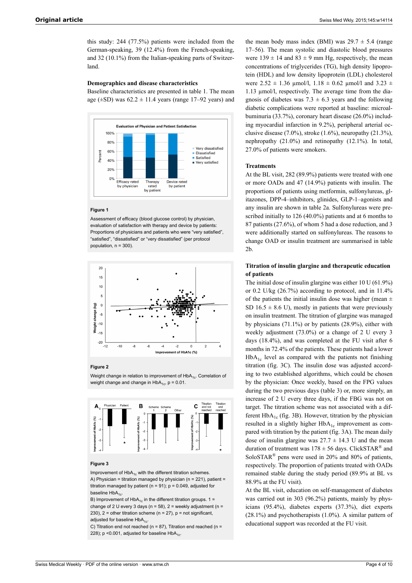this study: 244 (77.5%) patients were included from the German-speaking, 39 (12.4%) from the French-speaking, and 32 (10.1%) from the Italian-speaking parts of Switzerland.

#### **Demographics and disease characteristics**

Baseline characteristics are presented in table 1. The mean age ( $\pm$ SD) was 62.2  $\pm$  11.4 years (range 17–92 years) and



#### **Figure 1**

Assessment of efficacy (blood glucose control) by physician, evaluation of satisfaction with therapy and device by patients: Proportions of physicians and patients who were "very satisfied", "satisfied", "dissatisfied" or "very dissatisfied" (per protocol population,  $n = 300$ )



#### **Figure 2**

Weight change in relation to improvement of  $HbA_{1c}$ . Correlation of weight change and change in  $HbA_{1c}$ , p = 0.01.



#### **Figure 3**

Improvement of  $HbA_{1c}$  with the different titration schemes. A) Physician = titration managed by physician ( $n = 221$ ), patient = titration managed by patient ( $n = 91$ );  $p = 0.049$ , adjusted for baseline  $HbA_{1c}$ .

B) Improvement of HbA<sub>1c</sub> in the different titration groups.  $1 =$ change of 2 U every 3 days ( $n = 58$ ), 2 = weekly adjustment ( $n =$ 230),  $2 =$  other titration scheme (n = 27),  $p =$  not significant, adjusted for baseline  $HbA_{1c}$ .

C) Titration end not reached ( $n = 87$ ), Titration end reached ( $n =$ 228); p < 0.001, adjusted for baseline  $HbA_{1c}$ .

the mean body mass index (BMI) was  $29.7 \pm 5.4$  (range 17–56). The mean systolic and diastolic blood pressures were  $139 \pm 14$  and  $83 \pm 9$  mm Hg, respectively, the mean concentrations of triglycerides (TG), high density lipoprotein (HDL) and low density lipoprotein (LDL) cholesterol were  $2.52 \pm 1.36$  µmol/l,  $1.18 \pm 0.62$  µmol/l and  $3.23 \pm 1.36$ 1.13 µmol/l, respectively. The average time from the diagnosis of diabetes was  $7.3 \pm 6.3$  years and the following diabetic complications were reported at baseline: microalbuminuria (33.7%), coronary heart disease (26.0%) including myocardial infarction in 9.2%), peripheral arterial occlusive disease (7.0%), stroke (1.6%), neuropathy (21.3%), nephropathy (21.0%) and retinopathy (12.1%). In total, 27.0% of patients were smokers.

#### **Treatments**

At the BL visit, 282 (89.9%) patients were treated with one or more OADs and 47 (14.9%) patients with insulin. The proportions of patients using metformin, sulfonylureas, glitazones, DPP-4–inhibitors, glinides, GLP-1–agonists and any insulin are shown in table 2a. Sulfonylureas were prescribed initially to 126 (40.0%) patients and at 6 months to 87 patients (27.6%), of whom 5 had a dose reduction, and 3 were additionally started on sulfonylureas. The reasons to change OAD or insulin treatment are summarised in table 2b.

# **Titration of insulin glargine and therapeutic education of patients**

The initial dose of insulin glargine was either 10 U (61.9%) or 0.2 U/kg (26.7%) according to protocol, and in 11.4% of the patients the initial insulin dose was higher (mean  $\pm$ SD 16.5  $\pm$  8.6 U), mostly in patients that were previously on insulin treatment. The titration of glargine was managed by physicians (71.1%) or by patients (28.9%), either with weekly adjustment (73.0%) or a change of 2 U every 3 days (18.4%), and was completed at the FU visit after 6 months in 72.4% of the patients. These patients had a lower  $HbA_{1c}$  level as compared with the patients not finishing titration (fig. 3C). The insulin dose was adjusted according to two established algorithms, which could be chosen by the physician: Once weekly, based on the FPG values during the two previous days (table 3) or, more simply, an increase of 2 U every three days, if the FBG was not on target. The titration scheme was not associated with a different  $HbA_{1c}$  (fig. 3B). However, titration by the physician resulted in a slightly higher  $HbA_{1c}$  improvement as compared with titration by the patient (fig. 3A). The mean daily dose of insulin glargine was  $27.7 \pm 14.3$  U and the mean duration of treatment was  $178 \pm 56$  days. ClickSTAR<sup>®</sup> and SoloSTAR® pens were used in 20% and 80% of patients, respectively. The proportion of patients treated with OADs remained stable during the study period (89.9% at BL vs 88.9% at the FU visit).

At the BL visit, education on self-management of diabetes was carried out in 303 (96.2%) patients, mainly by physicians (95.4%), diabetes experts (37.3%), diet experts (28.1%) and psychotherapists (1.0%). A similar pattern of educational support was recorded at the FU visit.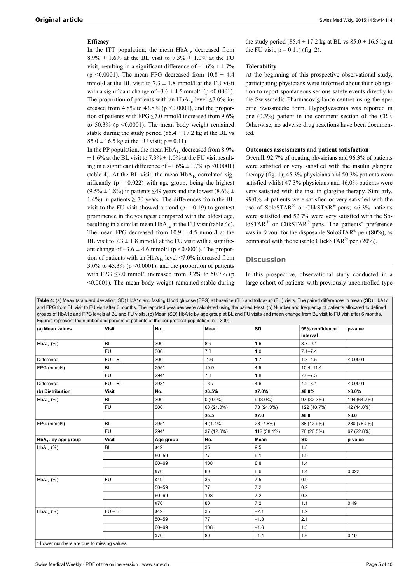# **Efficacy**

In the ITT population, the mean  $HbA_{1c}$  decreased from  $8.9\% \pm 1.6\%$  at the BL visit to  $7.3\% \pm 1.0\%$  at the FU visit, resulting in a significant difference of  $-1.6\% \pm 1.7\%$ (p < 0.0001). The mean FPG decreased from  $10.8 \pm 4.4$ mmol/l at the BL visit to  $7.3 \pm 1.8$  mmol/l at the FU visit with a significant change of  $-3.6 \pm 4.5$  mmol/l (p < 0.0001). The proportion of patients with an HbA<sub>1c</sub> level  $\leq$ 7.0% increased from 4.8% to 43.8% ( $p \le 0.0001$ ), and the proportion of patients with FPG ≤7.0 mmol/l increased from 9.6% to  $50.3\%$  (p  $\leq 0.0001$ ). The mean body weight remained stable during the study period (85.4  $\pm$  17.2 kg at the BL vs  $85.0 \pm 16.5$  kg at the FU visit;  $p = 0.11$ ).

In the PP population, the mean  $HbA_{1c}$  decreased from 8.9%  $\pm$  1.6% at the BL visit to 7.3%  $\pm$  1.0% at the FU visit resulting in a significant difference of  $-1.6\% \pm 1.7\%$  (p <0.0001) (table 4). At the BL visit, the mean  $HbA_{1c}$  correlated significantly ( $p = 0.022$ ) with age group, being the highest  $(9.5\% \pm 1.8\%)$  in patients ≤49 years and the lowest  $(8.6\% \pm 1.8\%)$ 1.4%) in patients  $\geq$  70 years. The differences from the BL visit to the FU visit showed a trend ( $p = 0.19$ ) to greatest prominence in the youngest compared with the oldest age, resulting in a similar mean  $HbA_{1c}$  at the FU visit (table 4c). The mean FPG decreased from  $10.9 \pm 4.5$  mmol/l at the BL visit to  $7.3 \pm 1.8$  mmol/l at the FU visit with a significant change of  $-3.6 \pm 4.6$  mmol/l (p <0.0001). The proportion of patients with an  $HbA_{1c}$  level ≤7.0% increased from  $3.0\%$  to  $45.3\%$  (p < 0.0001), and the proportion of patients with FPG  $\leq$ 7.0 mmol/l increased from 9.2% to 50.7% (p <0.0001). The mean body weight remained stable during

the study period (85.4  $\pm$  17.2 kg at BL vs 85.0  $\pm$  16.5 kg at the FU visit;  $p = 0.11$ ) (fig. 2).

#### **Tolerability**

At the beginning of this prospective observational study, participating physicians were informed about their obligation to report spontaneous serious safety events directly to the Swissmedic Pharmacovigilance centres using the specific Swissmedic form. Hypoglycaemia was reported in one (0.3%) patient in the comment section of the CRF. Otherwise, no adverse drug reactions have been documented.

#### **Outcomes assessments and patient satisfaction**

Overall, 92.7% of treating physicians and 96.3% of patients were satisfied or very satisfied with the insulin glargine therapy (fig. 1); 45.3% physicians and 50.3% patients were satisfied whilst 47.3% physicians and 46.0% patients were very satisfied with the insulin glargine therapy. Similarly, 99.0% of patients were satisfied or very satisfied with the use of SoloSTAR<sup>®</sup> or ClikSTAR<sup>®</sup> pens; 46.3% patients were satisfied and 52.7% were very satisfied with the So- $\text{loSTAR}^{\circledR}$  or ClikSTAR<sup>®</sup> pens. The patients' preference was in favour for the disposable SoloSTAR<sup>®</sup> pen (80%), as compared with the reusable ClickSTAR<sup>®</sup> pen (20%).

#### **Discussion**

In this prospective, observational study conducted in a large cohort of patients with previously uncontrolled type

|                                |           | Figures represent the number and percent of patients of the per protocol population ( $n = 300$ ). |            |             |                |             |
|--------------------------------|-----------|----------------------------------------------------------------------------------------------------|------------|-------------|----------------|-------------|
| (a) Mean values                | Visit     | No.                                                                                                | Mean       | SD          | 95% confidence | p-value     |
|                                |           |                                                                                                    |            |             | interval       |             |
| $HbA_{1c}$ (%)                 | <b>BL</b> | 300                                                                                                | 8.9        | 1.6         | $8.7 - 9.1$    |             |
|                                | <b>FU</b> | 300                                                                                                | 7.3        | 1.0         | $7.1 - 7.4$    |             |
| Difference                     | $FU - BL$ | 300                                                                                                | $-1.6$     | 1.7         | $1.8 - 1.5$    | < 0.0001    |
| FPG (mmol/l)                   | <b>BL</b> | 295*                                                                                               | 10.9       | 4.5         | $10.4 - 11.4$  |             |
|                                | <b>FU</b> | 294*                                                                                               | 7.3        | 1.8         | $7.0 - 7.5$    |             |
| Difference                     | $FU - BL$ | 293*                                                                                               | $-3.7$     | 4.6         | $4.2 - 3.1$    | < 0.0001    |
| (b) Distribution               | Visit     | No.                                                                                                | ≤6.5%      | ≤7.0%       | ≤8.0%          | $>8.0\%$    |
| $HbA_{1c}$ (%)                 | <b>BL</b> | 300                                                                                                | $0(0.0\%)$ | $9(3.0\%)$  | 97 (32.3%)     | 194 (64.7%) |
|                                | <b>FU</b> | 300                                                                                                | 63 (21.0%) | 73 (24.3%)  | 122 (40.7%)    | 42 (14.0%)  |
|                                |           |                                                                                                    | $≤5.5$     | ≤7.0        | ≤8.0           | >8.0        |
| FPG (mmol/l)                   | <b>BL</b> | 295*                                                                                               | $4(1.4\%)$ | 23 (7.8%)   | 38 (12.9%)     | 230 (78.0%) |
|                                | <b>FU</b> | 294*                                                                                               | 37 (12.6%) | 112 (38.1%) | 78 (26.5%)     | 67 (22.8%)  |
| HbA <sub>1c</sub> by age group | Visit     | Age group                                                                                          | No.        | Mean        | SD             | p-value     |
| $HbA_{1c}$ (%)                 | BL        | $\leq 49$                                                                                          | 35         | 9.5         | 1.8            |             |
|                                |           | $50 - 59$                                                                                          | 77         | 9.1         | 1.9            |             |
|                                |           | $60 - 69$                                                                                          | 108        | 8.8         | 1.4            |             |
|                                |           | $\geq 70$                                                                                          | 80         | 8.6         | 1.4            | 0.022       |
| $HbA_{1c}$ (%)                 | <b>FU</b> | ≤49                                                                                                | 35         | 7.5         | 0.9            |             |
|                                |           | $50 - 59$                                                                                          | 77         | 7.2         | 0.9            |             |
|                                |           | $60 - 69$                                                                                          | 108        | 7.2         | 0.8            |             |
|                                |           | $\geq 70$                                                                                          | 80         | 7.2         | 1.1            | 0.49        |
| $HbA_{1c}$ (%)                 | $FU - BL$ | ≤49                                                                                                | 35         | $-2.1$      | 1.9            |             |
|                                |           | $50 - 59$                                                                                          | 77         | $-1.8$      | 2.1            |             |
|                                |           | $60 - 69$                                                                                          | 108        | $-1.6$      | 1.3            |             |
|                                |           | $\geq 70$                                                                                          | 80         | $-1.4$      | 1.6            | 0.19        |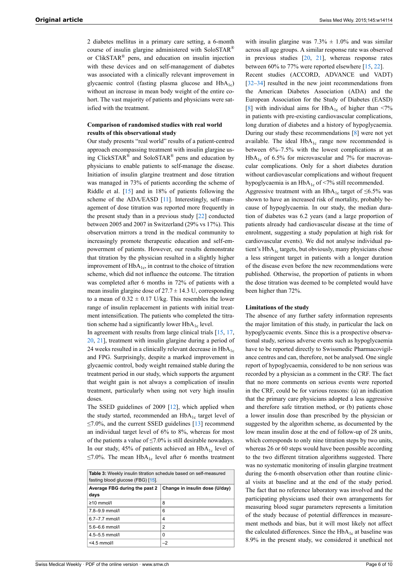2 diabetes mellitus in a primary care setting, a 6-month course of insulin glargine administered with SoloSTAR® or ClikSTAR® pens, and education on insulin injection with these devices and on self-management of diabetes was associated with a clinically relevant improvement in glycaemic control (fasting plasma glucose and  $HbA_{1c}$ ) without an increase in mean body weight of the entire cohort. The vast majority of patients and physicians were satisfied with the treatment.

# **Comparison of randomised studies with real world results of this observational study**

Our study presents "real world" results of a patient-centred approach encompassing treatment with insulin glargine using ClickSTAR<sup>®</sup> and SoloSTAR<sup>®</sup> pens and education by physicians to enable patients to self-manage the disease. Initiation of insulin glargine treatment and dose titration was managed in 73% of patients according the scheme of Riddle et al. [\[15](#page-6-9)] and in 18% of patients following the scheme of the ADA/EASD [\[11\]](#page-6-12). Interestingly, self-management of dose titration was reported more frequently in the present study than in a previous study [\[22](#page-7-1)] conducted between 2005 and 2007 in Switzerland (29% vs 17%). This observation mirrors a trend in the medical community to increasingly promote therapeutic education and self-empowerment of patients. However, our results demonstrate that titration by the physician resulted in a slightly higher improvement of  $HbA_{1c}$ , in contrast to the choice of titration scheme, which did not influence the outcome. The titration was completed after 6 months in 72% of patients with a mean insulin glargine dose of  $27.7 \pm 14.3$  U, corresponding to a mean of  $0.32 \pm 0.17$  U/kg. This resembles the lower range of insulin replacement in patients with initial treatment intensification. The patients who completed the titration scheme had a significantly lower  $HbA_{1c}$  level.

In agreement with results from large clinical trials  $[15, 17, 17]$  $[15, 17, 17]$  $[15, 17, 17]$  $[15, 17, 17]$ [20](#page-7-3), [21](#page-7-7)], treatment with insulin glargine during a period of 24 weeks resulted in a clinically relevant decrease in  $HbA_{1c}$ and FPG. Surprisingly, despite a marked improvement in glycaemic control, body weight remained stable during the treatment period in our study, which supports the argument that weight gain is not always a complication of insulin treatment, particularly when using not very high insulin doses.

The SSED guidelines of 2009 [\[12](#page-6-6)], which applied when the study started, recommended an  $HbA_{1c}$  target level of  $\leq$ 7.0%, and the current SSED guidelines [[13\]](#page-6-7) recommend an individual target level of 6% to 8%, whereas for most of the patients a value of  $\leq$ 7.0% is still desirable nowadays. In our study, 45% of patients achieved an  $HbA_{1c}$  level of ≤7.0%. The mean HbA<sub>1c</sub> level after 6 months treatment

| <b>Table 3:</b> Weekly insulin titration schedule based on self-measured |                                |  |  |  |
|--------------------------------------------------------------------------|--------------------------------|--|--|--|
| fasting blood glucose (FBG) [15].                                        |                                |  |  |  |
| Average FBG during the past 2                                            | Change in insulin dose (U/day) |  |  |  |
| days                                                                     |                                |  |  |  |
| $\geq$ 10 mmol/l                                                         | 8                              |  |  |  |
| $7.8 - 9.9$ mmol/l                                                       | 6                              |  |  |  |
| $6.7 - 7.7$ mmol/l                                                       | 4                              |  |  |  |
| $5.6 - 6.6$ mmol/l                                                       | 2                              |  |  |  |
| $4.5 - 5.5$ mmol/l                                                       | 0                              |  |  |  |
| $<$ 4.5 mmol/l                                                           | $-2$                           |  |  |  |

with insulin glargine was  $7.3\% \pm 1.0\%$  and was similar across all age groups. A similar response rate was observed in previous studies  $[20, 21]$  $[20, 21]$  $[20, 21]$  $[20, 21]$  $[20, 21]$ , whereas response rates between 60% to 77% were reported elsewhere [[15,](#page-6-9) [22](#page-7-1)].

Recent studies (ACCORD, ADVANCE und VADT) [[32–](#page-7-10)[34](#page-7-11)] resulted in the new joint recommendations from the American Diabetes Association (ADA) and the European Association for the Study of Diabetes (EASD) [[8](#page-6-4)] with individual aims for  $HbA_{1c}$  of higher than <7% in patients with pre-existing cardiovascular complications, long duration of diabetes and a history of hypoglycaemia. During our study these recommendations [\[8\]](#page-6-4) were not yet available. The ideal  $HbA_{1c}$  range now recommended is between 6%–7.5% with the lowest complications at an  $HbA_{1c}$  of 6.5% for microvascular and 7% for macrovascular complications. Only for a short diabetes duration without cardiovascular complications and without frequent hypoglycaemia is an  $HbA_{1c}$  of <7% still recommended.

Aggressive treatment with an HbA<sub>1c</sub> target of ≤6.5% was shown to have an increased risk of mortality, probably because of hypoglycaemia. In our study, the median duration of diabetes was 6.2 years (and a large proportion of patients already had cardiovascular disease at the time of enrolment, suggesting a study population at high risk for cardiovascular events). We did not analyse individual patient's HbA<sub>1c</sub> targets, but obviously, many physicians chose a less stringent target in patients with a longer duration of the disease even before the new recommendations were published. Otherwise, the proportion of patients in whom the dose titration was deemed to be completed would have been higher than 72%.

#### **Limitations of the study**

The absence of any further safety information represents the major limitation of this study, in particular the lack on hypoglycaemic events. Since this is a prospective observational study, serious adverse events such as hypoglycaemia have to be reported directly to Swissmedic Pharmacovigilance centres and can, therefore, not be analysed. One single report of hypoglycaemia, considered to be non serious was recorded by a physician as a comment in the CRF. The fact that no more comments on serious events were reported in the CRF, could be for various reasons: (a) an indication that the primary care physicians adopted a less aggressive and therefore safe titration method, or (b) patients chose a lower insulin dose than prescribed by the physician or suggested by the algorithm scheme, as documented by the low mean insulin dose at the end of follow-up of 28 units, which corresponds to only nine titration steps by two units, whereas 26 or 60 steps would have been possible according to the two different titration algorithms suggested. There was no systematic monitoring of insulin glargine treatment during the 6-month observation other than routine clinical visits at baseline and at the end of the study period. The fact that no reference laboratory was involved and the participating physicians used their own arrangements for measuring blood sugar parameters represents a limitation of the study because of potential differences in measurement methods and bias, but it will most likely not affect the calculated differences. Since the  $HbA_{1c}$  at baseline was 8.9% in the present study, we considered it unethical not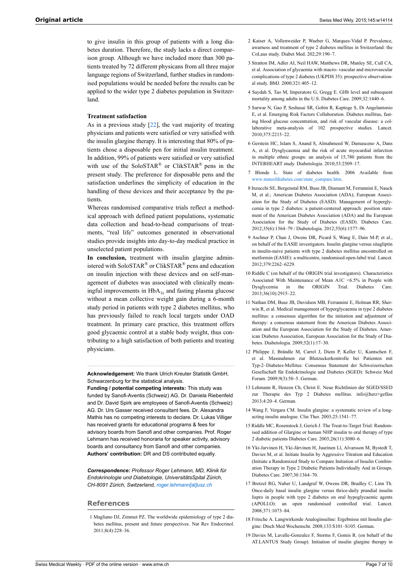<span id="page-6-1"></span>to give insulin in this group of patients with a long diabetes duration. Therefore, the study lacks a direct comparison group. Although we have included more than 300 patients treated by 72 different physicans from all three major language regions of Switzerland, further studies in randomised populations would be needed before the results can be applied to the wider type 2 diabetes population in Switzerland.

#### **Treatment satisfaction**

<span id="page-6-2"></span>As in a previous study [[22\]](#page-7-1), the vast majority of treating physicians and patients were satisfied or very satisfied with the insulin glargine therapy. It is interesting that 80% of patients chose a disposable pen for initial insulin treatment. In addition, 99% of patients were satisfied or very satisfied with use of the SoloSTAR<sup>®</sup> or ClikSTAR<sup>®</sup> pens in the present study. The preference for disposable pens and the satisfaction underlines the simplicity of education in the handling of these devices and their acceptance by the patients.

<span id="page-6-4"></span><span id="page-6-3"></span>Whereas randomised comparative trials reflect a methodical approach with defined patient populations, systematic data collection and head-to-head comparisons of treatments, "real life" outcomes generated in observational studies provide insights into day-to-day medical practice in unselected patient populations.

<span id="page-6-12"></span><span id="page-6-5"></span>**In conclusion,** treatment with insulin glargine administered with SoloSTAR<sup>®</sup> or ClikSTAR<sup>®</sup> pens and education on insulin injection with these devices and on self-management of diabetes was associated with clinically meaningful improvements in  $HbA_{1c}$  and fasting plasma glucose without a mean collective weight gain during a 6-month study period in patients with type 2 diabetes mellitus, who has previously failed to reach local targets under OAD treatment. In primary care practice, this treatment offers good glycaemic control at a stable body weight, thus contributing to a high satisfaction of both patients and treating physicians.

<span id="page-6-6"></span>**Acknowledgement:** We thank Ulrich Kreuter Statistik GmbH, Schwarzenburg for the statistical analysis.

<span id="page-6-9"></span><span id="page-6-8"></span><span id="page-6-7"></span>**Funding / potential competing interests:** This study was funded by Sanofi-Aventis (Schweiz) AG. Dr. Daniela Riebenfeld and Dr. David Spirk are employees of Sanofi-Aventis (Schweiz) AG. Dr. Urs Gasser received consultant fees. Dr. Alexandra Mathis has no competing interests to declare. Dr. Lukas Villiger has received grants for educational programs & fees for advisory boards from Sanofi and other companies. Prof. Roger Lehmann has received honoraria for speaker activity, advisory boards and consultancy from Sanofi and other companies. **Authors' contribution:** DR and DS contributed equally.

<span id="page-6-10"></span>*Correspondence: Professor Roger Lehmann, MD, Klinik für Endokrinologie und Diabetologie, UniversitätsSpital Zürich, CH-8091 Zürich, Switzerland, [roger.lehmann\[at\]usz.ch](mailto:roger.lehmann@usz.ch)*

#### **References**

<span id="page-6-11"></span><span id="page-6-0"></span>1 Magliano DJ, Zimmet PZ. The worldwide epidemiology of type 2 diabetes mellitus, present and future perspectives. Nat Rev Endocrinol. 2011;8(4):228–36.

- 2 Kaiser A, Vollenweider P, Waeber G, Marques-Vidal P. Prevalence, awarness and treatment of type 2 diabetes mellitus in Switzerland: the CoLaus study. Diabet Med. 202;29:190–7.
- 3 Stratton IM, Adler AI, Neil HAW, Matthews DR, Manley SE, Cull CA, et al. Association of glycaemia with macro- vascular and microvascular complications of type 2 diabetes (UKPDS 35): prospective observational study. BMJ. 2000;321:405–12.
- 4 Saydah S, Tao M, Imperatore G, Gregg E. GHb level and subsequent mortality among adults in the U.S. Diabetes Care. 2009;32:1440–6.
- 5 Sarwar N, Gao P, Seshasai SR, Gobin R, Kaptoge S, Di Angelantonio E, et al. Emerging Risk Factors Collaboration. Diabetes mellitus, fasting blood glucose concentration, and risk of vascular disease: a collaborative meta-analysis of 102 prospective studies. Lancet. 2010;375:2215–22.
- 6 Gerstein HC, Islam S, Anand S, Almahmeed W, Damasceno A, Dans A, et al. Dysglycaemia and the risk of acute myocardial infarction in multiple ethnic groups: an analysis of 15,780 patients from the INTERHEART study. Diabetologia. 2010;53:2509–17.
- 7 Blonde L. State of diabetes health. 2006 Available from [www.stateofdiabetes.com/state\\_compare.htm.](http://www.stateofdiabetes.com/state_compare.htm)
- 8 Inzucchi SE, Bergenstal RM, Buse JB, Diamant M, Ferrannini E, Nauck M, et al.; American Diabetes Association (ADA); European Association for the Study of Diabetes (EASD). Management of hyperglycemia in type 2 diabetes: a patient-centered approach: position statement of the American Diabetes Association (ADA) and the European Association for the Study of Diabetes (EASD). Diabetes Care. 2012;35(6):1364–79 / Diabetologia. 2012;55(6):1577–96.
- 9 Aschner P, Chan J, Owens DR, Picard S, Wang E, Dain M-P, et al., on behalf of the EASIE investigators. Insulin glargine versus sitagliptin in insulin-naive patients with type 2 diabetes mellitus uncontrolled on metformin (EASIE): a multicentre, randomised open-label trial. Lancet. 2012;379:2262–6229.
- 10 Riddle C (on behalf of the ORIGIN trial investigators). Characteristics Associated With Maintenance of Mean A1C <6.5% in People with Dysglycemia in the ORIGIN Trial. Diabetes Care. 2013;36(10):2915–22.
- 11 Nathan DM, Buse JB, Davidson MB, Ferrannini E, Holman RR, Sherwin R, et al. Medical management of hyperglycaemia in type 2 diabetes mellitus: a consensus algorithm for the initiation and adjustment of therapy: a consensus statement from the American Diabetes Association and the European Association for the Study of Diabetes. American Diabetes Association, European Association for the Study of Diabetes. Diabetologia. 2009;52(1):17–30.
- 12 Philippe J, Brändle M, Carrel J, Diem P, Keller U, Kuntschen F, et al. Massnahmen zur Blutzuckerkontrolle bei Patienten mit Typ-2–Diabetes-Mellitus: Consensus Statement der Schweizerischen Gesellschaft für Endokrinologie und Diabetes (SGED): Schweiz Med Forum. 2009;9(3):50–5. German.
- 13 Lehmann R, Henzen Ch, Christ E. Neue Richtlinien der SGED/SSED zur Therapie des Typ 2 Diabetes mellitus. info@herz+gefäss 2013;4:20–4. German.
- 14 Wang F, Vergara CM. Insulin glargine: a systematic review of a longacting insulin analogue. Clin Ther. 2003;25:1541–77.
- 15 Riddle MC, Rosenstock J, Gerich J. The Treat-to-Target Trial: Randomised addition of Glargine or human NHP insulin to oral therapy of type 2 diabetic patients Diabetes Care. 2003;26(11):3080–6.
- 16 Yki-Jarvinen H, Yki-Järvinen H, Juurinen Ll, Alvarsson M, Bystedt T, Davies M, et al. Initiate Insulin by Aggressive Titration and Education (Initiate a Randomized Study to Compare Initiation of Insulin Combination Therapy in Type 2 Diabetic Patients Individually And in Groups. Diabetes Care. 2007;30:1364–70.
- 17 Bretzel RG, Nuber U, Landgraf W, Owens DR, Bradley C, Linn Th. Once-daily basal insulin glargine versus thrice-daily prandial insulin lispro in people with type 2 diabetes on oral hypoglycaemic agents (APOLLO): an open randomised controlled trial. Lancet. 2008;371:1073–84.
- 18 Fritsche A. Langwirkende Analoginsuline: Ergebnisse mit Insulin glargine: Dtsch Med Wochenschr. 2008;133:S101–S105. German.
- 19 Davies M, Lavalle-Gonzalez F, Storms F, Gomis R. (on behalf of the AT.LANTUS Study Group). Initiation of insulin glargine therapy in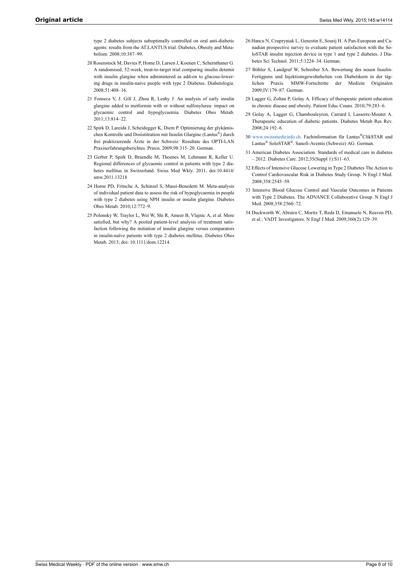type 2 diabetes subjects suboptimally controlled on oral anti-diabetic agents: results from the AT.LANTUS trial. Diabetes, Obesity and Metabolism. 2008;10:387–99.

- <span id="page-7-6"></span><span id="page-7-3"></span><span id="page-7-0"></span>20 Rosenstock M, Davies P, Home D, Larsen J, Koenen C, Schernthaner G. A randomised, 52-week, treat-to-target trial comparing insulin detemir with insulin glargine when administered as add-on to glucose-lowering drugs in insulin-naive people with type 2 Diabetes. Diabetologia. 2008;51:408–16.
- <span id="page-7-8"></span><span id="page-7-7"></span>21 Fonseca V, J. Gill J, Zhou R, Leahy J. An analysis of early insulin glargine added to metformin with or without sulfonylurea: impact on glycaemic control and hypoglycaemia. Diabetes Obes Metab. 2011;13:814–22.
- <span id="page-7-9"></span><span id="page-7-1"></span>22 Spirk D, Lareida J, Scheidegger K, Diem P. Optimierung der glykämischen Kontrolle und Dosistitration mit Insulin Glargine (Lantus® ) durch frei praktizierende Ärzte in der Schweiz: Resultate des OPTI-LAN Praxiserfahrungsberichtes. Praxis. 2009;98:315–20. German.
- <span id="page-7-10"></span><span id="page-7-2"></span>23 Gerber P, Spirk D, Braendle M, Thoenes M, Lehmann R, Keller U. Regional differences of glycaemic control in patients with type 2 diabetes mellitus in Switzerland. Swiss Med Wkly. 2011, doi:10.4414/ smw.2011.13218
- <span id="page-7-4"></span>24 Home PD, Fritsche A, Schinzel S, Massi-Benedetti M. Meta-analysis of individual patient data to assess the risk of hypoglycaemia in people with type 2 diabetes using NPH insulin or insulin glargine. Diabetes Obes Metab. 2010;12:772–9.
- <span id="page-7-11"></span><span id="page-7-5"></span>25 Polonsky W, Traylor L, Wei W, Shi R, Ameer B, Vlajnic A, et al. More satisfied, but why? A pooled patient-level analysis of treatment satisfaction following the initiation of insulin glargine versus comparators in insulin-naïve patients with type 2 diabetes mellitus. Diabetes Obes Metab. 2013; doi: 10.1111/dom.12214.
- 26 Hancu N, Czupryniak L, Genestin E, Sourij H. A Pan-European and Canadian prospective survey to evaluate patient satisfaction with the SoloSTAR insulin injection device in type 1 and type 2 diabetes. J Diabetes Sci Technol. 2011;5:1224–34. German.
- 27 Böhler S, Landgraf W, Schreiber SA. Bewertung des neuen Insulin-Fertigpens und Injektionsgewohnheiten von Diabetikern in der täglichen Praxis. MMW-Fortschritte der Medizin Originalen 2009;IV:179–87. German.
- 28 Lagger G, Zoltan P, Golay A. Efficacy of therapeutic patient education in chronic disease and obesity. Patient Educ Couns. 2010;79:283–6.
- 29 Golay A, Lagger G, Chambouleyron, Carrard I, Lasserre-Moutet A. Therapeutic education of diabetic patients. Diabetes Metab Res Rev. 2008;24:192–6.
- 30 [www.swissmedicinfo.ch](http://www.swissmedicinfo.ch). Fachinformation für Lantus®ClikSTAR und Lantus® SoloSTAR® . Sanofi-Aventis (Schweiz) AG. German.
- 31 American Diabetes Association. Standards of medical care in diabetes – 2012. Diabetes Care. 2012;35(Suppl 1):S11–63.
- 32 Effects of Intensive Glucose Lowering in Type 2 Diabetes The Action to Control Cardiovascular Risk in Diabetes Study Group. N Engl J Med. 2008;358:2545–59.
- 33 Intensive Blood Glucose Control and Vascular Outcomes in Patients with Type 2 Diabetes. The ADVANCE Collaborative Group. N Engl J Med. 2008;358:2560–72.
- 34 Duckworth W, Abraira C, Moritz T, Reda D, Emanuele N, Reaven PD, et al.; VADT Investigators. N Engl J Med. 2009;360(2):129–39.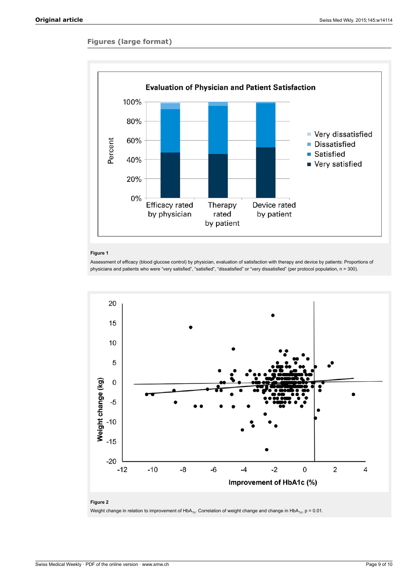# **Figures (large format)**



### **Figure 1**

Assessment of efficacy (blood glucose control) by physician, evaluation of satisfaction with therapy and device by patients: Proportions of physicians and patients who were "very satisfied", "satisfied", "dissatisfied" or "very dissatisfied" (per protocol population, n = 300).



Weight change in relation to improvement of HbA<sub>1c</sub>. Correlation of weight change and change in HbA<sub>1c</sub>, p = 0.01.